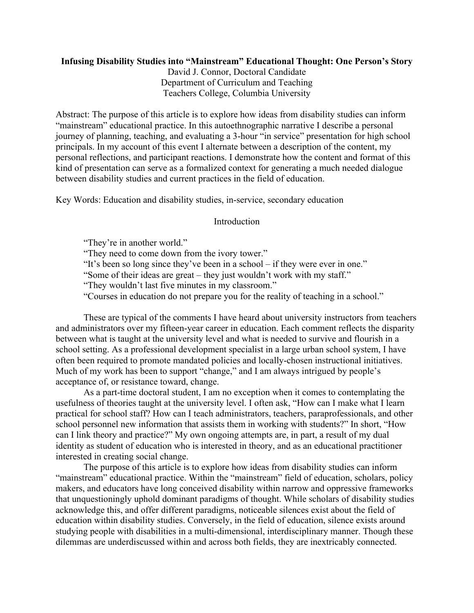# **Infusing Disability Studies into "Mainstream" Educational Thought: One Person's Story**

David J. Connor, Doctoral Candidate Department of Curriculum and Teaching Teachers College, Columbia University

Abstract: The purpose of this article is to explore how ideas from disability studies can inform "mainstream" educational practice. In this autoethnographic narrative I describe a personal journey of planning, teaching, and evaluating a 3-hour "in service" presentation for high school principals. In my account of this event I alternate between a description of the content, my personal reflections, and participant reactions. I demonstrate how the content and format of this kind of presentation can serve as a formalized context for generating a much needed dialogue between disability studies and current practices in the field of education.

Key Words: Education and disability studies, in-service, secondary education

# Introduction

"They're in another world."

"They need to come down from the ivory tower."

"It's been so long since they've been in a school – if they were ever in one."

"Some of their ideas are great – they just wouldn't work with my staff."

"They wouldn't last five minutes in my classroom."

"Courses in education do not prepare you for the reality of teaching in a school."

These are typical of the comments I have heard about university instructors from teachers and administrators over my fifteen-year career in education. Each comment reflects the disparity between what is taught at the university level and what is needed to survive and flourish in a school setting. As a professional development specialist in a large urban school system, I have often been required to promote mandated policies and locally-chosen instructional initiatives. Much of my work has been to support "change," and I am always intrigued by people's acceptance of, or resistance toward, change.

As a part-time doctoral student, I am no exception when it comes to contemplating the usefulness of theories taught at the university level. I often ask, "How can I make what I learn practical for school staff? How can I teach administrators, teachers, paraprofessionals, and other school personnel new information that assists them in working with students?" In short, "How can I link theory and practice?" My own ongoing attempts are, in part, a result of my dual identity as student of education who is interested in theory, and as an educational practitioner interested in creating social change.

The purpose of this article is to explore how ideas from disability studies can inform "mainstream" educational practice. Within the "mainstream" field of education, scholars, policy makers, and educators have long conceived disability within narrow and oppressive frameworks that unquestioningly uphold dominant paradigms of thought. While scholars of disability studies acknowledge this, and offer different paradigms, noticeable silences exist about the field of education within disability studies. Conversely, in the field of education, silence exists around studying people with disabilities in a multi-dimensional, interdisciplinary manner. Though these dilemmas are underdiscussed within and across both fields, they are inextricably connected.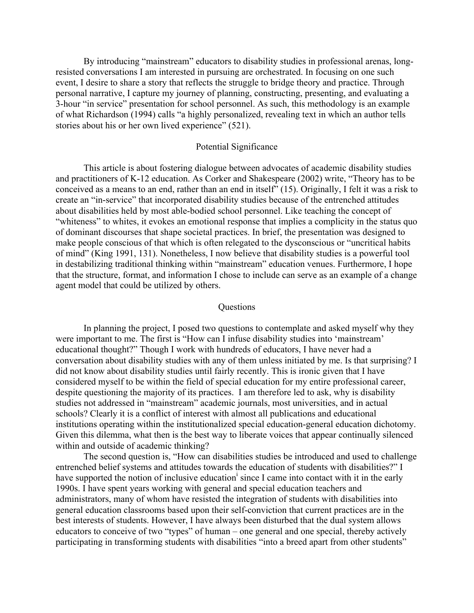By introducing "mainstream" educators to disability studies in professional arenas, longresisted conversations I am interested in pursuing are orchestrated. In focusing on one such event, I desire to share a story that reflects the struggle to bridge theory and practice. Through personal narrative, I capture my journey of planning, constructing, presenting, and evaluating a 3-hour "in service" presentation for school personnel. As such, this methodology is an example of what Richardson (1994) calls "a highly personalized, revealing text in which an author tells stories about his or her own lived experience" (521).

## Potential Significance

This article is about fostering dialogue between advocates of academic disability studies and practitioners of K-12 education. As Corker and Shakespeare (2002) write, "Theory has to be conceived as a means to an end, rather than an end in itself" (15). Originally, I felt it was a risk to create an "in-service" that incorporated disability studies because of the entrenched attitudes about disabilities held by most able-bodied school personnel. Like teaching the concept of "whiteness" to whites, it evokes an emotional response that implies a complicity in the status quo of dominant discourses that shape societal practices. In brief, the presentation was designed to make people conscious of that which is often relegated to the dysconscious or "uncritical habits of mind" (King 1991, 131). Nonetheless, I now believe that disability studies is a powerful tool in destabilizing traditional thinking within "mainstream" education venues. Furthermore, I hope that the structure, format, and information I chose to include can serve as an example of a change agent model that could be utilized by others.

## **Questions**

In planning the project, I posed two questions to contemplate and asked myself why they were important to me. The first is "How can I infuse disability studies into 'mainstream' educational thought?" Though I work with hundreds of educators, I have never had a conversation about disability studies with any of them unless initiated by me. Is that surprising? I did not know about disability studies until fairly recently. This is ironic given that I have considered myself to be within the field of special education for my entire professional career, despite questioning the majority of its practices. I am therefore led to ask, why is disability studies not addressed in "mainstream" academic journals, most universities, and in actual schools? Clearly it is a conflict of interest with almost all publications and educational institutions operating within the institutionalized special education-general education dichotomy. Given this dilemma, what then is the best way to liberate voices that appear continually silenced within and outside of academic thinking?

The second question is, "How can disabilities studies be introduced and used to challenge entrenched belief systems and attitudes towards the education of students with disabilities?" I have supported the notion of inclusive education<sup>i</sup> since I came into contact with it in the early 1990s. I have spent years working with general and special education teachers and administrators, many of whom have resisted the integration of students with disabilities into general education classrooms based upon their self-conviction that current practices are in the best interests of students. However, I have always been disturbed that the dual system allows educators to conceive of two "types" of human – one general and one special, thereby actively participating in transforming students with disabilities "into a breed apart from other students"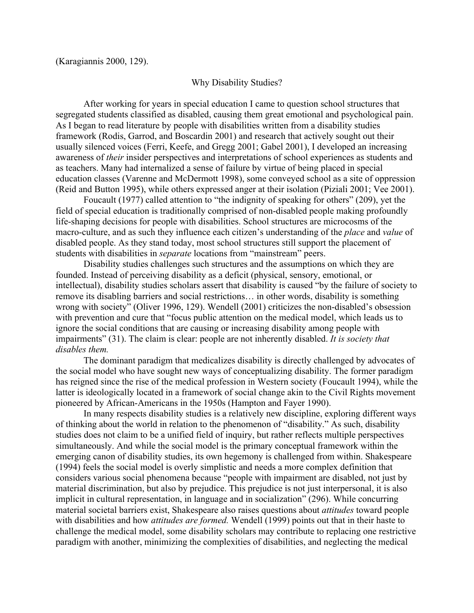## Why Disability Studies?

After working for years in special education I came to question school structures that segregated students classified as disabled, causing them great emotional and psychological pain. As I began to read literature by people with disabilities written from a disability studies framework (Rodis, Garrod, and Boscardin 2001) and research that actively sought out their usually silenced voices (Ferri, Keefe, and Gregg 2001; Gabel 2001), I developed an increasing awareness of *their* insider perspectives and interpretations of school experiences as students and as teachers. Many had internalized a sense of failure by virtue of being placed in special education classes (Varenne and McDermott 1998), some conveyed school as a site of oppression (Reid and Button 1995), while others expressed anger at their isolation (Piziali 2001; Vee 2001).

Foucault (1977) called attention to "the indignity of speaking for others" (209), yet the field of special education is traditionally comprised of non-disabled people making profoundly life-shaping decisions for people with disabilities. School structures are microcosms of the macro-culture, and as such they influence each citizen's understanding of the *place* and *value* of disabled people. As they stand today, most school structures still support the placement of students with disabilities in *separate* locations from "mainstream" peers.

Disability studies challenges such structures and the assumptions on which they are founded. Instead of perceiving disability as a deficit (physical, sensory, emotional, or intellectual), disability studies scholars assert that disability is caused "by the failure of society to remove its disabling barriers and social restrictions… in other words, disability is something wrong with society" (Oliver 1996, 129). Wendell (2001) criticizes the non-disabled's obsession with prevention and cure that "focus public attention on the medical model, which leads us to ignore the social conditions that are causing or increasing disability among people with impairments" (31). The claim is clear: people are not inherently disabled. *It is society that disables them.* 

The dominant paradigm that medicalizes disability is directly challenged by advocates of the social model who have sought new ways of conceptualizing disability. The former paradigm has reigned since the rise of the medical profession in Western society (Foucault 1994), while the latter is ideologically located in a framework of social change akin to the Civil Rights movement pioneered by African-Americans in the 1950s (Hampton and Fayer 1990).

In many respects disability studies is a relatively new discipline, exploring different ways of thinking about the world in relation to the phenomenon of "disability." As such, disability studies does not claim to be a unified field of inquiry, but rather reflects multiple perspectives simultaneously. And while the social model is the primary conceptual framework within the emerging canon of disability studies, its own hegemony is challenged from within. Shakespeare (1994) feels the social model is overly simplistic and needs a more complex definition that considers various social phenomena because "people with impairment are disabled, not just by material discrimination, but also by prejudice. This prejudice is not just interpersonal, it is also implicit in cultural representation, in language and in socialization" (296). While concurring material societal barriers exist, Shakespeare also raises questions about *attitudes* toward people with disabilities and how *attitudes are formed.* Wendell (1999) points out that in their haste to challenge the medical model, some disability scholars may contribute to replacing one restrictive paradigm with another, minimizing the complexities of disabilities, and neglecting the medical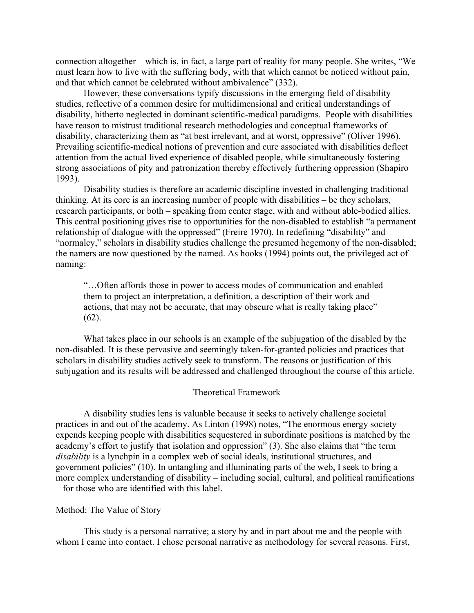connection altogether – which is, in fact, a large part of reality for many people. She writes, "We must learn how to live with the suffering body, with that which cannot be noticed without pain, and that which cannot be celebrated without ambivalence" (332).

However, these conversations typify discussions in the emerging field of disability studies, reflective of a common desire for multidimensional and critical understandings of disability, hitherto neglected in dominant scientific-medical paradigms. People with disabilities have reason to mistrust traditional research methodologies and conceptual frameworks of disability, characterizing them as "at best irrelevant, and at worst, oppressive" (Oliver 1996). Prevailing scientific-medical notions of prevention and cure associated with disabilities deflect attention from the actual lived experience of disabled people, while simultaneously fostering strong associations of pity and patronization thereby effectively furthering oppression (Shapiro 1993).

Disability studies is therefore an academic discipline invested in challenging traditional thinking. At its core is an increasing number of people with disabilities – be they scholars, research participants, or both – speaking from center stage, with and without able-bodied allies. This central positioning gives rise to opportunities for the non-disabled to establish "a permanent relationship of dialogue with the oppressed" (Freire 1970). In redefining "disability" and "normalcy," scholars in disability studies challenge the presumed hegemony of the non-disabled; the namers are now questioned by the named. As hooks (1994) points out, the privileged act of naming:

"…Often affords those in power to access modes of communication and enabled them to project an interpretation, a definition, a description of their work and actions, that may not be accurate, that may obscure what is really taking place" (62).

What takes place in our schools is an example of the subjugation of the disabled by the non-disabled. It is these pervasive and seemingly taken-for-granted policies and practices that scholars in disability studies actively seek to transform. The reasons or justification of this subjugation and its results will be addressed and challenged throughout the course of this article.

#### Theoretical Framework

A disability studies lens is valuable because it seeks to actively challenge societal practices in and out of the academy. As Linton (1998) notes, "The enormous energy society expends keeping people with disabilities sequestered in subordinate positions is matched by the academy's effort to justify that isolation and oppression" (3). She also claims that "the term *disability* is a lynchpin in a complex web of social ideals, institutional structures, and government policies" (10). In untangling and illuminating parts of the web, I seek to bring a more complex understanding of disability – including social, cultural, and political ramifications – for those who are identified with this label.

## Method: The Value of Story

This study is a personal narrative; a story by and in part about me and the people with whom I came into contact. I chose personal narrative as methodology for several reasons. First,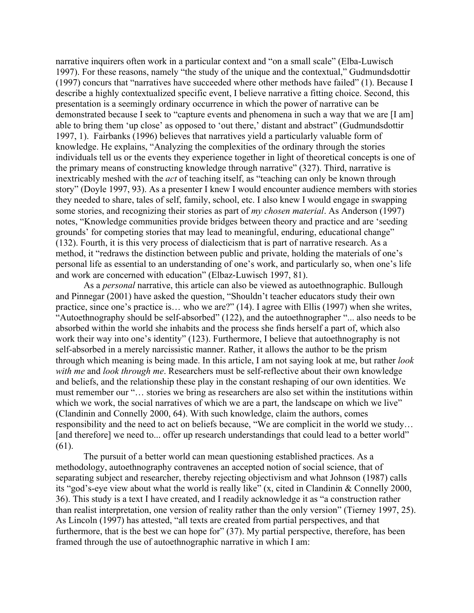narrative inquirers often work in a particular context and "on a small scale" (Elba-Luwisch 1997). For these reasons, namely "the study of the unique and the contextual," Gudmundsdottir (1997) concurs that "narratives have succeeded where other methods have failed" (1). Because I describe a highly contextualized specific event, I believe narrative a fitting choice. Second, this presentation is a seemingly ordinary occurrence in which the power of narrative can be demonstrated because I seek to "capture events and phenomena in such a way that we are [I am] able to bring them 'up close' as opposed to 'out there,' distant and abstract" (Gudmundsdottir 1997, 1). Fairbanks (1996) believes that narratives yield a particularly valuable form of knowledge. He explains, "Analyzing the complexities of the ordinary through the stories individuals tell us or the events they experience together in light of theoretical concepts is one of the primary means of constructing knowledge through narrative" (327). Third, narrative is inextricably meshed with the *act* of teaching itself, as "teaching can only be known through story" (Doyle 1997, 93). As a presenter I knew I would encounter audience members with stories they needed to share, tales of self, family, school, etc. I also knew I would engage in swapping some stories, and recognizing their stories as part of *my chosen material*. As Anderson (1997) notes, "Knowledge communities provide bridges between theory and practice and are 'seeding grounds' for competing stories that may lead to meaningful, enduring, educational change" (132). Fourth, it is this very process of dialecticism that is part of narrative research. As a method, it "redraws the distinction between public and private, holding the materials of one's personal life as essential to an understanding of one's work, and particularly so, when one's life and work are concerned with education" (Elbaz-Luwisch 1997, 81).

As a *personal* narrative, this article can also be viewed as autoethnographic. Bullough and Pinnegar (2001) have asked the question, "Shouldn't teacher educators study their own practice, since one's practice is… who we are?" (14). I agree with Ellis (1997) when she writes, "Autoethnography should be self-absorbed" (122), and the autoethnographer "... also needs to be absorbed within the world she inhabits and the process she finds herself a part of, which also work their way into one's identity" (123). Furthermore, I believe that autoethnography is not self-absorbed in a merely narcissistic manner. Rather, it allows the author to be the prism through which meaning is being made. In this article, I am not saying look at me, but rather *look with me* and *look through me*. Researchers must be self-reflective about their own knowledge and beliefs, and the relationship these play in the constant reshaping of our own identities. We must remember our "… stories we bring as researchers are also set within the institutions within which we work, the social narratives of which we are a part, the landscape on which we live" (Clandinin and Connelly 2000, 64). With such knowledge, claim the authors, comes responsibility and the need to act on beliefs because, "We are complicit in the world we study… [and therefore] we need to... offer up research understandings that could lead to a better world" (61).

The pursuit of a better world can mean questioning established practices. As a methodology, autoethnography contravenes an accepted notion of social science, that of separating subject and researcher, thereby rejecting objectivism and what Johnson (1987) calls its "god's-eye view about what the world is really like" (x, cited in Clandinin & Connelly 2000, 36). This study is a text I have created, and I readily acknowledge it as "a construction rather than realist interpretation, one version of reality rather than the only version" (Tierney 1997, 25). As Lincoln (1997) has attested, "all texts are created from partial perspectives, and that furthermore, that is the best we can hope for" (37). My partial perspective, therefore, has been framed through the use of autoethnographic narrative in which I am: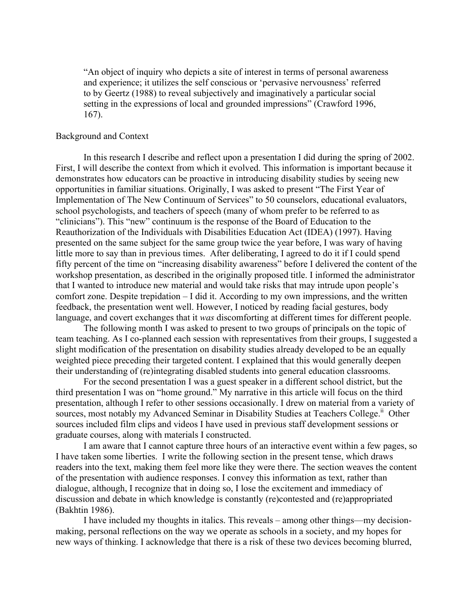"An object of inquiry who depicts a site of interest in terms of personal awareness and experience; it utilizes the self conscious or 'pervasive nervousness' referred to by Geertz (1988) to reveal subjectively and imaginatively a particular social setting in the expressions of local and grounded impressions" (Crawford 1996, 167).

# Background and Context

In this research I describe and reflect upon a presentation I did during the spring of 2002. First, I will describe the context from which it evolved. This information is important because it demonstrates how educators can be proactive in introducing disability studies by seeing new opportunities in familiar situations. Originally, I was asked to present "The First Year of Implementation of The New Continuum of Services" to 50 counselors, educational evaluators, school psychologists, and teachers of speech (many of whom prefer to be referred to as "clinicians"). This "new" continuum is the response of the Board of Education to the Reauthorization of the Individuals with Disabilities Education Act (IDEA) (1997). Having presented on the same subject for the same group twice the year before, I was wary of having little more to say than in previous times. After deliberating, I agreed to do it if I could spend fifty percent of the time on "increasing disability awareness" before I delivered the content of the workshop presentation, as described in the originally proposed title. I informed the administrator that I wanted to introduce new material and would take risks that may intrude upon people's comfort zone. Despite trepidation – I did it. According to my own impressions, and the written feedback, the presentation went well. However, I noticed by reading facial gestures, body language, and covert exchanges that it *was* discomforting at different times for different people.

The following month I was asked to present to two groups of principals on the topic of team teaching. As I co-planned each session with representatives from their groups, I suggested a slight modification of the presentation on disability studies already developed to be an equally weighted piece preceding their targeted content. I explained that this would generally deepen their understanding of (re)integrating disabled students into general education classrooms.

For the second presentation I was a guest speaker in a different school district, but the third presentation I was on "home ground." My narrative in this article will focus on the third presentation, although I refer to other sessions occasionally. I drew on material from a variety of sources, most notably my Advanced Seminar in Disability Studies at Teachers College.<sup>ii</sup> Other sources included film clips and videos I have used in previous staff development sessions or graduate courses, along with materials I constructed.

I am aware that I cannot capture three hours of an interactive event within a few pages, so I have taken some liberties. I write the following section in the present tense, which draws readers into the text, making them feel more like they were there. The section weaves the content of the presentation with audience responses. I convey this information as text, rather than dialogue, although, I recognize that in doing so, I lose the excitement and immediacy of discussion and debate in which knowledge is constantly (re)contested and (re)appropriated (Bakhtin 1986).

I have included my thoughts in italics. This reveals – among other things—my decisionmaking, personal reflections on the way we operate as schools in a society, and my hopes for new ways of thinking. I acknowledge that there is a risk of these two devices becoming blurred,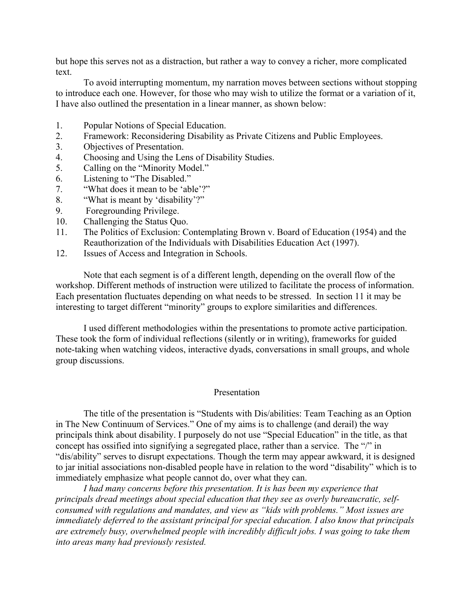but hope this serves not as a distraction, but rather a way to convey a richer, more complicated text.

To avoid interrupting momentum, my narration moves between sections without stopping to introduce each one. However, for those who may wish to utilize the format or a variation of it, I have also outlined the presentation in a linear manner, as shown below:

- 1. Popular Notions of Special Education.
- 2. Framework: Reconsidering Disability as Private Citizens and Public Employees.
- 3. Objectives of Presentation.
- 4. Choosing and Using the Lens of Disability Studies.
- 5. Calling on the "Minority Model."
- 6. Listening to "The Disabled."
- 7. "What does it mean to be 'able'?"
- 8. "What is meant by 'disability'?"
- 9. Foregrounding Privilege.
- 10. Challenging the Status Quo.
- 11. The Politics of Exclusion: Contemplating Brown v. Board of Education (1954) and the Reauthorization of the Individuals with Disabilities Education Act (1997).
- 12. Issues of Access and Integration in Schools.

Note that each segment is of a different length, depending on the overall flow of the workshop. Different methods of instruction were utilized to facilitate the process of information. Each presentation fluctuates depending on what needs to be stressed. In section 11 it may be interesting to target different "minority" groups to explore similarities and differences.

I used different methodologies within the presentations to promote active participation. These took the form of individual reflections (silently or in writing), frameworks for guided note-taking when watching videos, interactive dyads, conversations in small groups, and whole group discussions.

#### Presentation

The title of the presentation is "Students with Dis/abilities: Team Teaching as an Option in The New Continuum of Services." One of my aims is to challenge (and derail) the way principals think about disability. I purposely do not use "Special Education" in the title, as that concept has ossified into signifying a segregated place, rather than a service. The "/" in "dis/ability" serves to disrupt expectations. Though the term may appear awkward, it is designed to jar initial associations non-disabled people have in relation to the word "disability" which is to immediately emphasize what people cannot do, over what they can.

*I had many concerns before this presentation. It is has been my experience that principals dread meetings about special education that they see as overly bureaucratic, selfconsumed with regulations and mandates, and view as "kids with problems." Most issues are immediately deferred to the assistant principal for special education. I also know that principals are extremely busy, overwhelmed people with incredibly difficult jobs. I was going to take them into areas many had previously resisted.*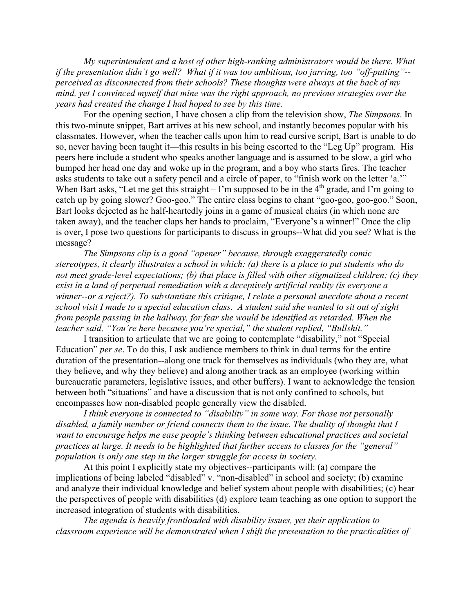*My superintendent and a host of other high-ranking administrators would be there. What if the presentation didn't go well? What if it was too ambitious, too jarring, too "off-putting"- perceived as disconnected from their schools? These thoughts were always at the back of my mind, yet I convinced myself that mine was the right approach, no previous strategies over the years had created the change I had hoped to see by this time.*

For the opening section, I have chosen a clip from the television show, *The Simpsons*. In this two-minute snippet, Bart arrives at his new school, and instantly becomes popular with his classmates. However, when the teacher calls upon him to read cursive script, Bart is unable to do so, never having been taught it—this results in his being escorted to the "Leg Up" program. His peers here include a student who speaks another language and is assumed to be slow, a girl who bumped her head one day and woke up in the program, and a boy who starts fires. The teacher asks students to take out a safety pencil and a circle of paper, to "finish work on the letter 'a.'" When Bart asks, "Let me get this straight – I'm supposed to be in the  $4<sup>th</sup>$  grade, and I'm going to catch up by going slower? Goo-goo." The entire class begins to chant "goo-goo, goo-goo." Soon, Bart looks dejected as he half-heartedly joins in a game of musical chairs (in which none are taken away), and the teacher claps her hands to proclaim, "Everyone's a winner!" Once the clip is over, I pose two questions for participants to discuss in groups--What did you see? What is the message?

*The Simpsons clip is a good "opener" because, through exaggeratedly comic stereotypes, it clearly illustrates a school in which: (a) there is a place to put students who do not meet grade-level expectations; (b) that place is filled with other stigmatized children; (c) they exist in a land of perpetual remediation with a deceptively artificial reality (is everyone a winner--or a reject?). To substantiate this critique, I relate a personal anecdote about a recent school visit I made to a special education class. A student said she wanted to sit out of sight from people passing in the hallway, for fear she would be identified as retarded. When the teacher said, "You're here because you're special," the student replied, "Bullshit."* 

I transition to articulate that we are going to contemplate "disability," not "Special Education" *per se*. To do this, I ask audience members to think in dual terms for the entire duration of the presentation--along one track for themselves as individuals (who they are, what they believe, and why they believe) and along another track as an employee (working within bureaucratic parameters, legislative issues, and other buffers). I want to acknowledge the tension between both "situations" and have a discussion that is not only confined to schools, but encompasses how non-disabled people generally view the disabled.

*I think everyone is connected to "disability" in some way. For those not personally disabled, a family member or friend connects them to the issue. The duality of thought that I want to encourage helps me ease people's thinking between educational practices and societal practices at large. It needs to be highlighted that further access to classes for the "general" population is only one step in the larger struggle for access in society.*

At this point I explicitly state my objectives--participants will: (a) compare the implications of being labeled "disabled" v. "non-disabled" in school and society; (b) examine and analyze their individual knowledge and belief system about people with disabilities; (c) hear the perspectives of people with disabilities (d) explore team teaching as one option to support the increased integration of students with disabilities.

*The agenda is heavily frontloaded with disability issues, yet their application to classroom experience will be demonstrated when I shift the presentation to the practicalities of*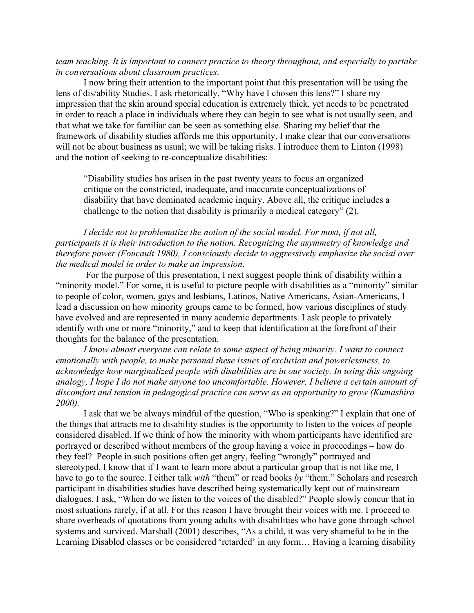# *team teaching. It is important to connect practice to theory throughout, and especially to partake in conversations about classroom practices.*

I now bring their attention to the important point that this presentation will be using the lens of dis/ability Studies. I ask rhetorically, "Why have I chosen this lens?" I share my impression that the skin around special education is extremely thick, yet needs to be penetrated in order to reach a place in individuals where they can begin to see what is not usually seen, and that what we take for familiar can be seen as something else. Sharing my belief that the framework of disability studies affords me this opportunity, I make clear that our conversations will not be about business as usual; we will be taking risks. I introduce them to Linton (1998) and the notion of seeking to re-conceptualize disabilities:

"Disability studies has arisen in the past twenty years to focus an organized critique on the constricted, inadequate, and inaccurate conceptualizations of disability that have dominated academic inquiry. Above all, the critique includes a challenge to the notion that disability is primarily a medical category" (2).

*I decide not to problematize the notion of the social model. For most, if not all, participants it is their introduction to the notion. Recognizing the asymmetry of knowledge and therefore power (Foucault 1980), I consciously decide to aggressively emphasize the social over the medical model in order to make an impression*.

For the purpose of this presentation, I next suggest people think of disability within a "minority model." For some, it is useful to picture people with disabilities as a "minority" similar to people of color, women, gays and lesbians, Latinos, Native Americans, Asian-Americans, I lead a discussion on how minority groups came to be formed, how various disciplines of study have evolved and are represented in many academic departments. I ask people to privately identify with one or more "minority," and to keep that identification at the forefront of their thoughts for the balance of the presentation.

*I know almost everyone can relate to some aspect of being minority. I want to connect emotionally with people, to make personal these issues of exclusion and powerlessness, to acknowledge how marginalized people with disabilities are in our society. In using this ongoing analogy, I hope I do not make anyone too uncomfortable. However, I believe a certain amount of discomfort and tension in pedagogical practice can serve as an opportunity to grow (Kumashiro 2000).*

I ask that we be always mindful of the question, "Who is speaking?" I explain that one of the things that attracts me to disability studies is the opportunity to listen to the voices of people considered disabled. If we think of how the minority with whom participants have identified are portrayed or described without members of the group having a voice in proceedings – how do they feel? People in such positions often get angry, feeling "wrongly" portrayed and stereotyped. I know that if I want to learn more about a particular group that is not like me, I have to go to the source. I either talk *with* "them" or read books *by* "them." Scholars and research participant in disabilities studies have described being systematically kept out of mainstream dialogues. I ask, "When do we listen to the voices of the disabled?" People slowly concur that in most situations rarely, if at all. For this reason I have brought their voices with me. I proceed to share overheads of quotations from young adults with disabilities who have gone through school systems and survived. Marshall (2001) describes, "As a child, it was very shameful to be in the Learning Disabled classes or be considered 'retarded' in any form... Having a learning disability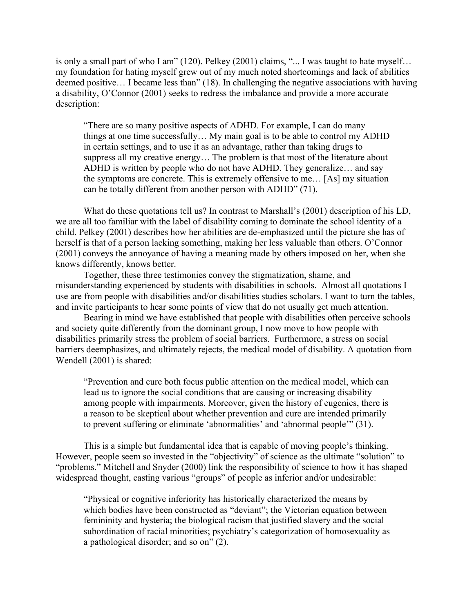is only a small part of who I am" (120). Pelkey (2001) claims, "... I was taught to hate myself… my foundation for hating myself grew out of my much noted shortcomings and lack of abilities deemed positive… I became less than" (18). In challenging the negative associations with having a disability, O'Connor (2001) seeks to redress the imbalance and provide a more accurate description:

"There are so many positive aspects of ADHD. For example, I can do many things at one time successfully… My main goal is to be able to control my ADHD in certain settings, and to use it as an advantage, rather than taking drugs to suppress all my creative energy… The problem is that most of the literature about ADHD is written by people who do not have ADHD. They generalize… and say the symptoms are concrete. This is extremely offensive to me… [As] my situation can be totally different from another person with ADHD" (71).

What do these quotations tell us? In contrast to Marshall's (2001) description of his LD, we are all too familiar with the label of disability coming to dominate the school identity of a child. Pelkey (2001) describes how her abilities are de-emphasized until the picture she has of herself is that of a person lacking something, making her less valuable than others. O'Connor (2001) conveys the annoyance of having a meaning made by others imposed on her, when she knows differently, knows better.

Together, these three testimonies convey the stigmatization, shame, and misunderstanding experienced by students with disabilities in schools. Almost all quotations I use are from people with disabilities and/or disabilities studies scholars. I want to turn the tables, and invite participants to hear some points of view that do not usually get much attention.

Bearing in mind we have established that people with disabilities often perceive schools and society quite differently from the dominant group, I now move to how people with disabilities primarily stress the problem of social barriers. Furthermore, a stress on social barriers deemphasizes, and ultimately rejects, the medical model of disability. A quotation from Wendell (2001) is shared:

"Prevention and cure both focus public attention on the medical model, which can lead us to ignore the social conditions that are causing or increasing disability among people with impairments. Moreover, given the history of eugenics, there is a reason to be skeptical about whether prevention and cure are intended primarily to prevent suffering or eliminate 'abnormalities' and 'abnormal people'" (31).

This is a simple but fundamental idea that is capable of moving people's thinking. However, people seem so invested in the "objectivity" of science as the ultimate "solution" to "problems." Mitchell and Snyder (2000) link the responsibility of science to how it has shaped widespread thought, casting various "groups" of people as inferior and/or undesirable:

"Physical or cognitive inferiority has historically characterized the means by which bodies have been constructed as "deviant"; the Victorian equation between femininity and hysteria; the biological racism that justified slavery and the social subordination of racial minorities; psychiatry's categorization of homosexuality as a pathological disorder; and so on" (2).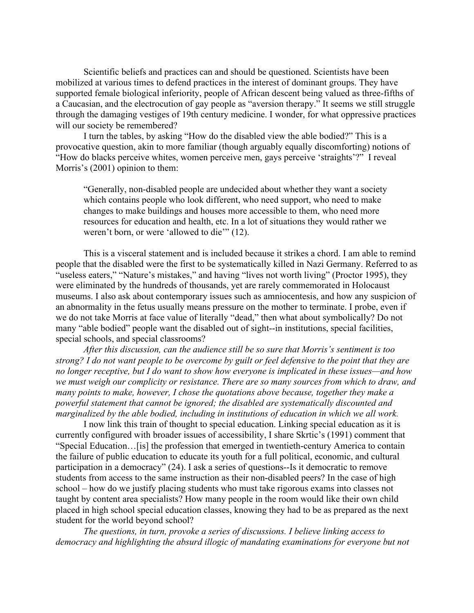Scientific beliefs and practices can and should be questioned. Scientists have been mobilized at various times to defend practices in the interest of dominant groups. They have supported female biological inferiority, people of African descent being valued as three-fifths of a Caucasian, and the electrocution of gay people as "aversion therapy." It seems we still struggle through the damaging vestiges of 19th century medicine. I wonder, for what oppressive practices will our society be remembered?

I turn the tables, by asking "How do the disabled view the able bodied?" This is a provocative question, akin to more familiar (though arguably equally discomforting) notions of "How do blacks perceive whites, women perceive men, gays perceive 'straights'?" I reveal Morris's (2001) opinion to them:

"Generally, non-disabled people are undecided about whether they want a society which contains people who look different, who need support, who need to make changes to make buildings and houses more accessible to them, who need more resources for education and health, etc. In a lot of situations they would rather we weren't born, or were 'allowed to die'" (12).

This is a visceral statement and is included because it strikes a chord. I am able to remind people that the disabled were the first to be systematically killed in Nazi Germany. Referred to as "useless eaters," "Nature's mistakes," and having "lives not worth living" (Proctor 1995), they were eliminated by the hundreds of thousands, yet are rarely commemorated in Holocaust museums. I also ask about contemporary issues such as amniocentesis, and how any suspicion of an abnormality in the fetus usually means pressure on the mother to terminate. I probe, even if we do not take Morris at face value of literally "dead," then what about symbolically? Do not many "able bodied" people want the disabled out of sight--in institutions, special facilities, special schools, and special classrooms?

*After this discussion, can the audience still be so sure that Morris's sentiment is too strong? I do not want people to be overcome by guilt or feel defensive to the point that they are no longer receptive, but I do want to show how everyone is implicated in these issues—and how we must weigh our complicity or resistance. There are so many sources from which to draw, and many points to make, however, I chose the quotations above because, together they make a powerful statement that cannot be ignored; the disabled are systematically discounted and marginalized by the able bodied, including in institutions of education in which we all work.*

I now link this train of thought to special education. Linking special education as it is currently configured with broader issues of accessibility, I share Skrtic's (1991) comment that "Special Education…[is] the profession that emerged in twentieth-century America to contain the failure of public education to educate its youth for a full political, economic, and cultural participation in a democracy" (24). I ask a series of questions--Is it democratic to remove students from access to the same instruction as their non-disabled peers? In the case of high school – how do we justify placing students who must take rigorous exams into classes not taught by content area specialists? How many people in the room would like their own child placed in high school special education classes, knowing they had to be as prepared as the next student for the world beyond school?

*The questions, in turn, provoke a series of discussions. I believe linking access to democracy and highlighting the absurd illogic of mandating examinations for everyone but not*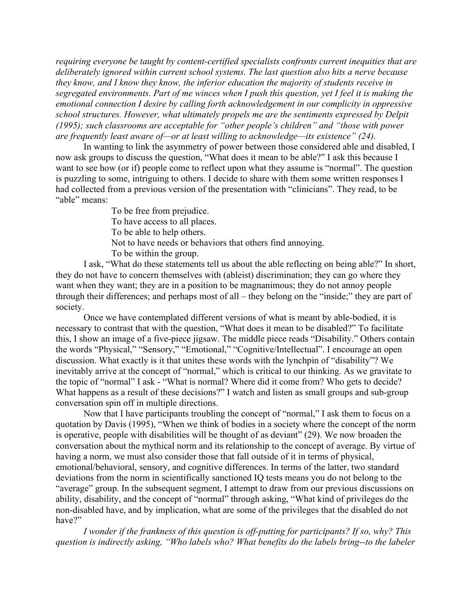*requiring everyone be taught by content-certified specialists confronts current inequities that are deliberately ignored within current school systems. The last question also hits a nerve because they know, and I know they know, the inferior education the majority of students receive in segregated environments. Part of me winces when I push this question, yet I feel it is making the emotional connection I desire by calling forth acknowledgement in our complicity in oppressive school structures. However, what ultimately propels me are the sentiments expressed by Delpit (1995); such classrooms are acceptable for "other people's children" and "those with power are frequently least aware of—or at least willing to acknowledge—its existence" (24).* 

In wanting to link the asymmetry of power between those considered able and disabled, I now ask groups to discuss the question, "What does it mean to be able?" I ask this because I want to see how (or if) people come to reflect upon what they assume is "normal". The question is puzzling to some, intriguing to others. I decide to share with them some written responses I had collected from a previous version of the presentation with "clinicians". They read, to be "able" means:

To be free from prejudice. To have access to all places. To be able to help others. Not to have needs or behaviors that others find annoying. To be within the group.

I ask, "What do these statements tell us about the able reflecting on being able?" In short, they do not have to concern themselves with (ableist) discrimination; they can go where they want when they want; they are in a position to be magnanimous; they do not annoy people through their differences; and perhaps most of all – they belong on the "inside;" they are part of society.

Once we have contemplated different versions of what is meant by able-bodied, it is necessary to contrast that with the question, "What does it mean to be disabled?" To facilitate this, I show an image of a five-piece jigsaw. The middle piece reads "Disability." Others contain the words "Physical," "Sensory," "Emotional," "Cognitive/Intellectual". I encourage an open discussion. What exactly is it that unites these words with the lynchpin of "disability"? We inevitably arrive at the concept of "normal," which is critical to our thinking. As we gravitate to the topic of "normal" I ask - "What is normal? Where did it come from? Who gets to decide? What happens as a result of these decisions?" I watch and listen as small groups and sub-group conversation spin off in multiple directions.

Now that I have participants troubling the concept of "normal," I ask them to focus on a quotation by Davis (1995), "When we think of bodies in a society where the concept of the norm is operative, people with disabilities will be thought of as deviant" (29). We now broaden the conversation about the mythical norm and its relationship to the concept of average. By virtue of having a norm, we must also consider those that fall outside of it in terms of physical, emotional/behavioral, sensory, and cognitive differences. In terms of the latter, two standard deviations from the norm in scientifically sanctioned IQ tests means you do not belong to the "average" group. In the subsequent segment, I attempt to draw from our previous discussions on ability, disability, and the concept of "normal" through asking, "What kind of privileges do the non-disabled have, and by implication, what are some of the privileges that the disabled do not have?"

*I wonder if the frankness of this question is off-putting for participants? If so, why? This question is indirectly asking, "Who labels who? What benefits do the labels bring--to the labeler*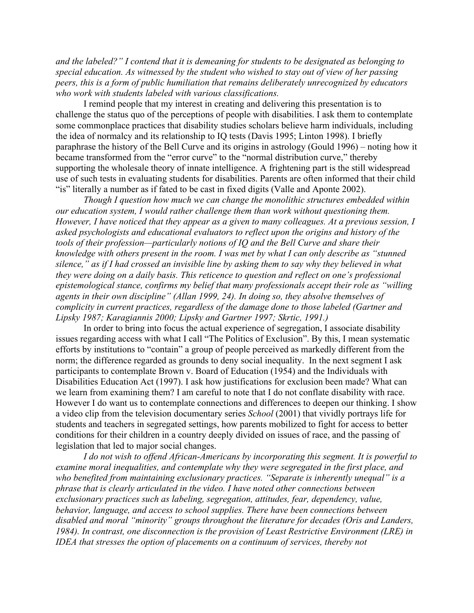*and the labeled?" I contend that it is demeaning for students to be designated as belonging to special education. As witnessed by the student who wished to stay out of view of her passing peers, this is a form of public humiliation that remains deliberately unrecognized by educators who work with students labeled with various classifications.* 

I remind people that my interest in creating and delivering this presentation is to challenge the status quo of the perceptions of people with disabilities. I ask them to contemplate some commonplace practices that disability studies scholars believe harm individuals, including the idea of normalcy and its relationship to IQ tests (Davis 1995; Linton 1998). I briefly paraphrase the history of the Bell Curve and its origins in astrology (Gould 1996) – noting how it became transformed from the "error curve" to the "normal distribution curve," thereby supporting the wholesale theory of innate intelligence. A frightening part is the still widespread use of such tests in evaluating students for disabilities. Parents are often informed that their child "is" literally a number as if fated to be cast in fixed digits (Valle and Aponte 2002).

*Though I question how much we can change the monolithic structures embedded within our education system, I would rather challenge them than work without questioning them. However, I have noticed that they appear as a given to many colleagues. At a previous session, I asked psychologists and educational evaluators to reflect upon the origins and history of the tools of their profession—particularly notions of IQ and the Bell Curve and share their knowledge with others present in the room. I was met by what I can only describe as "stunned silence," as if I had crossed an invisible line by asking them to say why they believed in what they were doing on a daily basis. This reticence to question and reflect on one's professional epistemological stance, confirms my belief that many professionals accept their role as "willing agents in their own discipline" (Allan 1999, 24). In doing so, they absolve themselves of complicity in current practices, regardless of the damage done to those labeled (Gartner and Lipsky 1987; Karagiannis 2000; Lipsky and Gartner 1997; Skrtic, 1991.)*

In order to bring into focus the actual experience of segregation, I associate disability issues regarding access with what I call "The Politics of Exclusion". By this, I mean systematic efforts by institutions to "contain" a group of people perceived as markedly different from the norm; the difference regarded as grounds to deny social inequality. In the next segment I ask participants to contemplate Brown v. Board of Education (1954) and the Individuals with Disabilities Education Act (1997). I ask how justifications for exclusion been made? What can we learn from examining them? I am careful to note that I do not conflate disability with race. However I do want us to contemplate connections and differences to deepen our thinking. I show a video clip from the television documentary series *School* (2001) that vividly portrays life for students and teachers in segregated settings, how parents mobilized to fight for access to better conditions for their children in a country deeply divided on issues of race, and the passing of legislation that led to major social changes.

*I do not wish to offend African-Americans by incorporating this segment. It is powerful to examine moral inequalities, and contemplate why they were segregated in the first place, and who benefited from maintaining exclusionary practices. "Separate is inherently unequal" is a phrase that is clearly articulated in the video. I have noted other connections between exclusionary practices such as labeling, segregation, attitudes, fear, dependency, value, behavior, language, and access to school supplies. There have been connections between disabled and moral "minority" groups throughout the literature for decades (Oris and Landers, 1984). In contrast, one disconnection is the provision of Least Restrictive Environment (LRE) in IDEA that stresses the option of placements on a continuum of services, thereby not*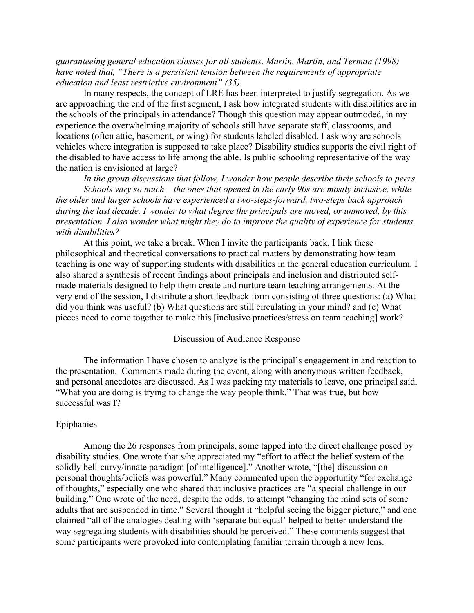*guaranteeing general education classes for all students. Martin, Martin, and Terman (1998) have noted that, "There is a persistent tension between the requirements of appropriate education and least restrictive environment" (35).* 

In many respects, the concept of LRE has been interpreted to justify segregation. As we are approaching the end of the first segment, I ask how integrated students with disabilities are in the schools of the principals in attendance? Though this question may appear outmoded, in my experience the overwhelming majority of schools still have separate staff, classrooms, and locations (often attic, basement, or wing) for students labeled disabled. I ask why are schools vehicles where integration is supposed to take place? Disability studies supports the civil right of the disabled to have access to life among the able. Is public schooling representative of the way the nation is envisioned at large?

*In the group discussions that follow, I wonder how people describe their schools to peers. Schools vary so much – the ones that opened in the early 90s are mostly inclusive, while the older and larger schools have experienced a two-steps-forward, two-steps back approach during the last decade. I wonder to what degree the principals are moved, or unmoved, by this presentation. I also wonder what might they do to improve the quality of experience for students with disabilities?*

At this point, we take a break. When I invite the participants back, I link these philosophical and theoretical conversations to practical matters by demonstrating how team teaching is one way of supporting students with disabilities in the general education curriculum. I also shared a synthesis of recent findings about principals and inclusion and distributed selfmade materials designed to help them create and nurture team teaching arrangements. At the very end of the session, I distribute a short feedback form consisting of three questions: (a) What did you think was useful? (b) What questions are still circulating in your mind? and (c) What pieces need to come together to make this [inclusive practices/stress on team teaching] work?

#### Discussion of Audience Response

The information I have chosen to analyze is the principal's engagement in and reaction to the presentation. Comments made during the event, along with anonymous written feedback, and personal anecdotes are discussed. As I was packing my materials to leave, one principal said, "What you are doing is trying to change the way people think." That was true, but how successful was I?

#### Epiphanies

Among the 26 responses from principals, some tapped into the direct challenge posed by disability studies. One wrote that s/he appreciated my "effort to affect the belief system of the solidly bell-curvy/innate paradigm [of intelligence]." Another wrote, "[the] discussion on personal thoughts/beliefs was powerful." Many commented upon the opportunity "for exchange of thoughts," especially one who shared that inclusive practices are "a special challenge in our building." One wrote of the need, despite the odds, to attempt "changing the mind sets of some adults that are suspended in time." Several thought it "helpful seeing the bigger picture," and one claimed "all of the analogies dealing with 'separate but equal' helped to better understand the way segregating students with disabilities should be perceived." These comments suggest that some participants were provoked into contemplating familiar terrain through a new lens.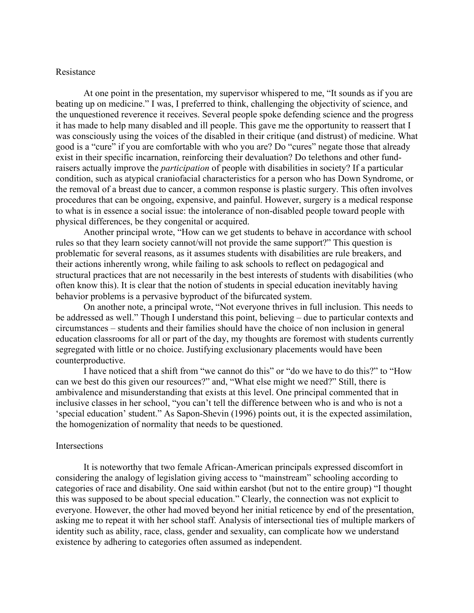## Resistance

At one point in the presentation, my supervisor whispered to me, "It sounds as if you are beating up on medicine." I was, I preferred to think, challenging the objectivity of science, and the unquestioned reverence it receives. Several people spoke defending science and the progress it has made to help many disabled and ill people. This gave me the opportunity to reassert that I was consciously using the voices of the disabled in their critique (and distrust) of medicine. What good is a "cure" if you are comfortable with who you are? Do "cures" negate those that already exist in their specific incarnation, reinforcing their devaluation? Do telethons and other fundraisers actually improve the *participation* of people with disabilities in society? If a particular condition, such as atypical craniofacial characteristics for a person who has Down Syndrome, or the removal of a breast due to cancer, a common response is plastic surgery. This often involves procedures that can be ongoing, expensive, and painful. However, surgery is a medical response to what is in essence a social issue: the intolerance of non-disabled people toward people with physical differences, be they congenital or acquired.

Another principal wrote, "How can we get students to behave in accordance with school rules so that they learn society cannot/will not provide the same support?" This question is problematic for several reasons, as it assumes students with disabilities are rule breakers, and their actions inherently wrong, while failing to ask schools to reflect on pedagogical and structural practices that are not necessarily in the best interests of students with disabilities (who often know this). It is clear that the notion of students in special education inevitably having behavior problems is a pervasive byproduct of the bifurcated system.

On another note, a principal wrote, "Not everyone thrives in full inclusion. This needs to be addressed as well." Though I understand this point, believing – due to particular contexts and circumstances – students and their families should have the choice of non inclusion in general education classrooms for all or part of the day, my thoughts are foremost with students currently segregated with little or no choice. Justifying exclusionary placements would have been counterproductive.

I have noticed that a shift from "we cannot do this" or "do we have to do this?" to "How can we best do this given our resources?" and, "What else might we need?" Still, there is ambivalence and misunderstanding that exists at this level. One principal commented that in inclusive classes in her school, "you can't tell the difference between who is and who is not a 'special education' student." As Sapon-Shevin (1996) points out, it is the expected assimilation, the homogenization of normality that needs to be questioned.

#### Intersections

It is noteworthy that two female African-American principals expressed discomfort in considering the analogy of legislation giving access to "mainstream" schooling according to categories of race and disability. One said within earshot (but not to the entire group) "I thought this was supposed to be about special education." Clearly, the connection was not explicit to everyone. However, the other had moved beyond her initial reticence by end of the presentation, asking me to repeat it with her school staff. Analysis of intersectional ties of multiple markers of identity such as ability, race, class, gender and sexuality, can complicate how we understand existence by adhering to categories often assumed as independent.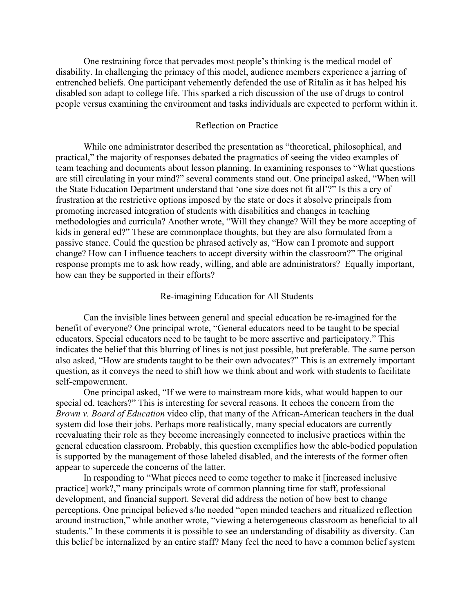One restraining force that pervades most people's thinking is the medical model of disability. In challenging the primacy of this model, audience members experience a jarring of entrenched beliefs. One participant vehemently defended the use of Ritalin as it has helped his disabled son adapt to college life. This sparked a rich discussion of the use of drugs to control people versus examining the environment and tasks individuals are expected to perform within it.

## Reflection on Practice

While one administrator described the presentation as "theoretical, philosophical, and practical," the majority of responses debated the pragmatics of seeing the video examples of team teaching and documents about lesson planning. In examining responses to "What questions are still circulating in your mind?" several comments stand out. One principal asked, "When will the State Education Department understand that 'one size does not fit all'?" Is this a cry of frustration at the restrictive options imposed by the state or does it absolve principals from promoting increased integration of students with disabilities and changes in teaching methodologies and curricula? Another wrote, "Will they change? Will they be more accepting of kids in general ed?" These are commonplace thoughts, but they are also formulated from a passive stance. Could the question be phrased actively as, "How can I promote and support change? How can I influence teachers to accept diversity within the classroom?" The original response prompts me to ask how ready, willing, and able are administrators? Equally important, how can they be supported in their efforts?

## Re-imagining Education for All Students

Can the invisible lines between general and special education be re-imagined for the benefit of everyone? One principal wrote, "General educators need to be taught to be special educators. Special educators need to be taught to be more assertive and participatory." This indicates the belief that this blurring of lines is not just possible, but preferable. The same person also asked, "How are students taught to be their own advocates?" This is an extremely important question, as it conveys the need to shift how we think about and work with students to facilitate self-empowerment.

One principal asked, "If we were to mainstream more kids, what would happen to our special ed. teachers?" This is interesting for several reasons. It echoes the concern from the *Brown v. Board of Education* video clip, that many of the African-American teachers in the dual system did lose their jobs. Perhaps more realistically, many special educators are currently reevaluating their role as they become increasingly connected to inclusive practices within the general education classroom. Probably, this question exemplifies how the able-bodied population is supported by the management of those labeled disabled, and the interests of the former often appear to supercede the concerns of the latter.

In responding to "What pieces need to come together to make it [increased inclusive practice] work?," many principals wrote of common planning time for staff, professional development, and financial support. Several did address the notion of how best to change perceptions. One principal believed s/he needed "open minded teachers and ritualized reflection around instruction," while another wrote, "viewing a heterogeneous classroom as beneficial to all students." In these comments it is possible to see an understanding of disability as diversity. Can this belief be internalized by an entire staff? Many feel the need to have a common belief system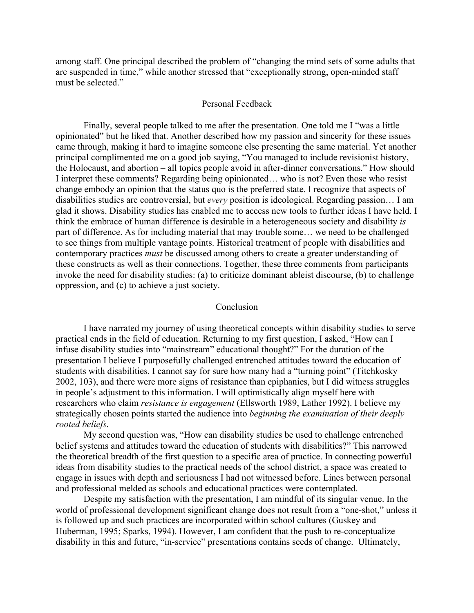among staff. One principal described the problem of "changing the mind sets of some adults that are suspended in time," while another stressed that "exceptionally strong, open-minded staff must be selected."

## Personal Feedback

Finally, several people talked to me after the presentation. One told me I "was a little opinionated" but he liked that. Another described how my passion and sincerity for these issues came through, making it hard to imagine someone else presenting the same material. Yet another principal complimented me on a good job saying, "You managed to include revisionist history, the Holocaust, and abortion – all topics people avoid in after-dinner conversations." How should I interpret these comments? Regarding being opinionated… who is not? Even those who resist change embody an opinion that the status quo is the preferred state. I recognize that aspects of disabilities studies are controversial, but *every* position is ideological. Regarding passion… I am glad it shows. Disability studies has enabled me to access new tools to further ideas I have held. I think the embrace of human difference is desirable in a heterogeneous society and disability *is* part of difference. As for including material that may trouble some… we need to be challenged to see things from multiple vantage points. Historical treatment of people with disabilities and contemporary practices *must* be discussed among others to create a greater understanding of these constructs as well as their connections. Together, these three comments from participants invoke the need for disability studies: (a) to criticize dominant ableist discourse, (b) to challenge oppression, and (c) to achieve a just society.

#### Conclusion

I have narrated my journey of using theoretical concepts within disability studies to serve practical ends in the field of education. Returning to my first question, I asked, "How can I infuse disability studies into "mainstream" educational thought?" For the duration of the presentation I believe I purposefully challenged entrenched attitudes toward the education of students with disabilities. I cannot say for sure how many had a "turning point" (Titchkosky 2002, 103), and there were more signs of resistance than epiphanies, but I did witness struggles in people's adjustment to this information. I will optimistically align myself here with researchers who claim *resistance is engagement* (Ellsworth 1989, Lather 1992). I believe my strategically chosen points started the audience into *beginning the examination of their deeply rooted beliefs*.

My second question was, "How can disability studies be used to challenge entrenched belief systems and attitudes toward the education of students with disabilities?" This narrowed the theoretical breadth of the first question to a specific area of practice. In connecting powerful ideas from disability studies to the practical needs of the school district, a space was created to engage in issues with depth and seriousness I had not witnessed before. Lines between personal and professional melded as schools and educational practices were contemplated.

Despite my satisfaction with the presentation, I am mindful of its singular venue. In the world of professional development significant change does not result from a "one-shot," unless it is followed up and such practices are incorporated within school cultures (Guskey and Huberman, 1995; Sparks, 1994). However, I am confident that the push to re-conceptualize disability in this and future, "in-service" presentations contains seeds of change. Ultimately,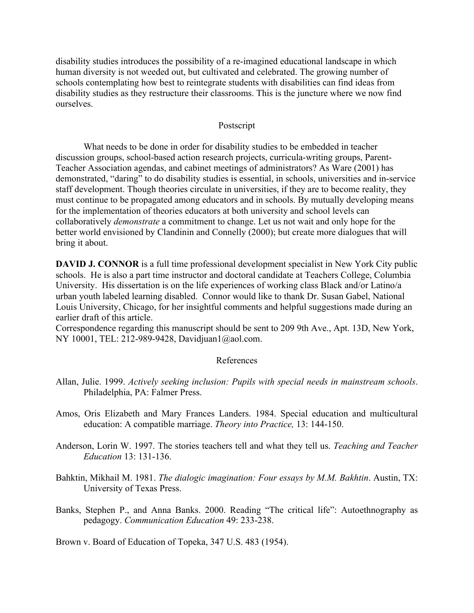disability studies introduces the possibility of a re-imagined educational landscape in which human diversity is not weeded out, but cultivated and celebrated. The growing number of schools contemplating how best to reintegrate students with disabilities can find ideas from disability studies as they restructure their classrooms. This is the juncture where we now find ourselves.

## Postscript

What needs to be done in order for disability studies to be embedded in teacher discussion groups, school-based action research projects, curricula-writing groups, Parent-Teacher Association agendas, and cabinet meetings of administrators? As Ware (2001) has demonstrated, "daring" to do disability studies is essential, in schools, universities and in-service staff development. Though theories circulate in universities, if they are to become reality, they must continue to be propagated among educators and in schools. By mutually developing means for the implementation of theories educators at both university and school levels can collaboratively *demonstrate* a commitment to change. Let us not wait and only hope for the better world envisioned by Clandinin and Connelly (2000); but create more dialogues that will bring it about.

**DAVID J. CONNOR** is a full time professional development specialist in New York City public schools. He is also a part time instructor and doctoral candidate at Teachers College, Columbia University. His dissertation is on the life experiences of working class Black and/or Latino/a urban youth labeled learning disabled. Connor would like to thank Dr. Susan Gabel, National Louis University, Chicago, for her insightful comments and helpful suggestions made during an earlier draft of this article.

Correspondence regarding this manuscript should be sent to 209 9th Ave., Apt. 13D, New York, NY 10001, TEL: 212-989-9428, Davidjuan1@aol.com.

## References

- Allan, Julie. 1999. *Actively seeking inclusion: Pupils with special needs in mainstream schools*. Philadelphia, PA: Falmer Press.
- Amos, Oris Elizabeth and Mary Frances Landers. 1984. Special education and multicultural education: A compatible marriage. *Theory into Practice,* 13: 144-150.
- Anderson, Lorin W. 1997. The stories teachers tell and what they tell us. *Teaching and Teacher Education* 13: 131-136.
- Bahktin, Mikhail M. 1981. *The dialogic imagination: Four essays by M.M. Bakhtin*. Austin, TX: University of Texas Press.
- Banks, Stephen P., and Anna Banks. 2000. Reading "The critical life": Autoethnography as pedagogy. *Communication Education* 49: 233-238.

Brown v. Board of Education of Topeka, 347 U.S. 483 (1954).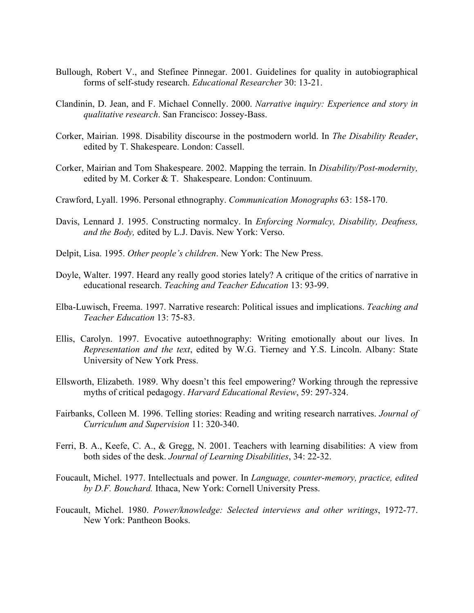- Bullough, Robert V., and Stefinee Pinnegar. 2001. Guidelines for quality in autobiographical forms of self-study research. *Educational Researcher* 30: 13-21.
- Clandinin, D. Jean, and F. Michael Connelly. 2000. *Narrative inquiry: Experience and story in qualitative research*. San Francisco: Jossey-Bass.
- Corker, Mairian. 1998. Disability discourse in the postmodern world. In *The Disability Reader*, edited by T. Shakespeare. London: Cassell.
- Corker, Mairian and Tom Shakespeare. 2002. Mapping the terrain. In *Disability/Post-modernity,*  edited by M. Corker & T. Shakespeare. London: Continuum.
- Crawford, Lyall. 1996. Personal ethnography. *Communication Monographs* 63: 158-170.
- Davis, Lennard J. 1995. Constructing normalcy. In *Enforcing Normalcy, Disability, Deafness, and the Body,* edited by L.J. Davis. New York: Verso.
- Delpit, Lisa. 1995. *Other people's children*. New York: The New Press.
- Doyle, Walter. 1997. Heard any really good stories lately? A critique of the critics of narrative in educational research. *Teaching and Teacher Education* 13: 93-99.
- Elba-Luwisch, Freema. 1997. Narrative research: Political issues and implications. *Teaching and Teacher Education* 13: 75-83.
- Ellis, Carolyn. 1997. Evocative autoethnography: Writing emotionally about our lives. In *Representation and the text*, edited by W.G. Tierney and Y.S. Lincoln. Albany: State University of New York Press.
- Ellsworth, Elizabeth. 1989. Why doesn't this feel empowering? Working through the repressive myths of critical pedagogy. *Harvard Educational Review*, 59: 297-324.
- Fairbanks, Colleen M. 1996. Telling stories: Reading and writing research narratives. *Journal of Curriculum and Supervision* 11: 320-340.
- Ferri, B. A., Keefe, C. A., & Gregg, N. 2001. Teachers with learning disabilities: A view from both sides of the desk. *Journal of Learning Disabilities*, 34: 22-32.
- Foucault, Michel. 1977. Intellectuals and power. In *Language, counter-memory, practice, edited by D.F. Bouchard.* Ithaca, New York: Cornell University Press.
- Foucault, Michel. 1980. *Power/knowledge: Selected interviews and other writings*, 1972-77. New York: Pantheon Books.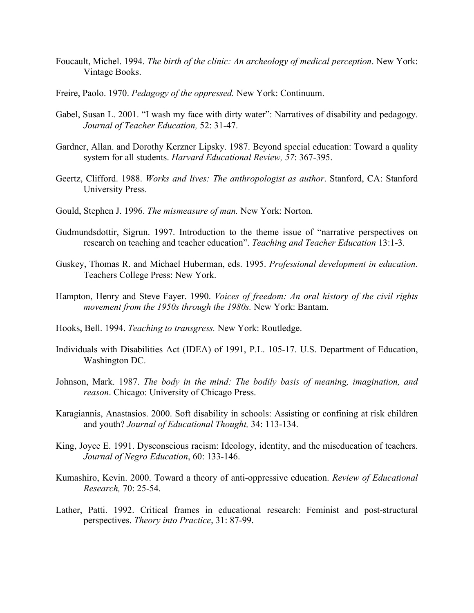- Foucault, Michel. 1994. *The birth of the clinic: An archeology of medical perception*. New York: Vintage Books.
- Freire, Paolo. 1970. *Pedagogy of the oppressed.* New York: Continuum.
- Gabel, Susan L. 2001. "I wash my face with dirty water": Narratives of disability and pedagogy. *Journal of Teacher Education,* 52: 31-47.
- Gardner, Allan. and Dorothy Kerzner Lipsky. 1987. Beyond special education: Toward a quality system for all students. *Harvard Educational Review, 57*: 367-395.
- Geertz, Clifford. 1988. *Works and lives: The anthropologist as author*. Stanford, CA: Stanford University Press.
- Gould, Stephen J. 1996. *The mismeasure of man.* New York: Norton.
- Gudmundsdottir, Sigrun. 1997. Introduction to the theme issue of "narrative perspectives on research on teaching and teacher education". *Teaching and Teacher Education* 13:1-3.
- Guskey, Thomas R. and Michael Huberman, eds. 1995. *Professional development in education.*  Teachers College Press: New York.
- Hampton, Henry and Steve Fayer. 1990. *Voices of freedom: An oral history of the civil rights movement from the 1950s through the 1980s.* New York: Bantam.
- Hooks, Bell. 1994. *Teaching to transgress.* New York: Routledge.
- Individuals with Disabilities Act (IDEA) of 1991, P.L. 105-17. U.S. Department of Education, Washington DC.
- Johnson, Mark. 1987. *The body in the mind: The bodily basis of meaning, imagination, and reason*. Chicago: University of Chicago Press.
- Karagiannis, Anastasios. 2000. Soft disability in schools: Assisting or confining at risk children and youth? *Journal of Educational Thought,* 34: 113-134.
- King, Joyce E. 1991. Dysconscious racism: Ideology, identity, and the miseducation of teachers. *Journal of Negro Education*, 60: 133-146.
- Kumashiro, Kevin. 2000. Toward a theory of anti-oppressive education. *Review of Educational Research,* 70: 25-54.
- Lather, Patti. 1992. Critical frames in educational research: Feminist and post-structural perspectives. *Theory into Practice*, 31: 87-99.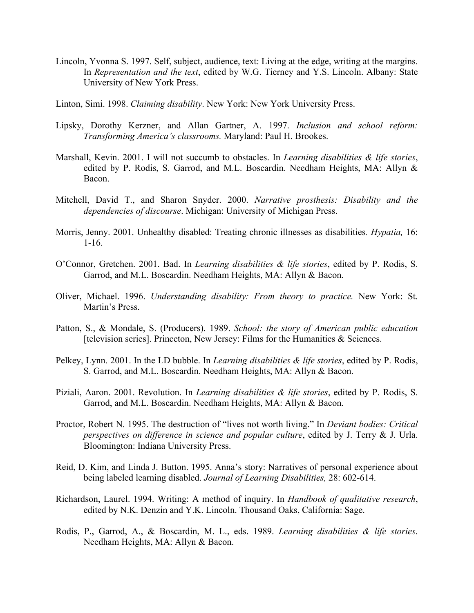- Lincoln, Yvonna S. 1997. Self, subject, audience, text: Living at the edge, writing at the margins. In *Representation and the text*, edited by W.G. Tierney and Y.S. Lincoln. Albany: State University of New York Press.
- Linton, Simi. 1998. *Claiming disability*. New York: New York University Press.
- Lipsky, Dorothy Kerzner, and Allan Gartner, A. 1997. *Inclusion and school reform: Transforming America's classrooms.* Maryland: Paul H. Brookes.
- Marshall, Kevin. 2001. I will not succumb to obstacles. In *Learning disabilities & life stories*, edited by P. Rodis, S. Garrod, and M.L. Boscardin. Needham Heights, MA: Allyn & Bacon.
- Mitchell, David T., and Sharon Snyder. 2000. *Narrative prosthesis: Disability and the dependencies of discourse*. Michigan: University of Michigan Press.
- Morris, Jenny. 2001. Unhealthy disabled: Treating chronic illnesses as disabilities*. Hypatia,* 16: 1-16.
- O'Connor, Gretchen. 2001. Bad. In *Learning disabilities & life stories*, edited by P. Rodis, S. Garrod, and M.L. Boscardin. Needham Heights, MA: Allyn & Bacon.
- Oliver, Michael. 1996. *Understanding disability: From theory to practice.* New York: St. Martin's Press.
- Patton, S., & Mondale, S. (Producers). 1989. *School: the story of American public education* [television series]. Princeton, New Jersey: Films for the Humanities & Sciences.
- Pelkey, Lynn. 2001. In the LD bubble. In *Learning disabilities & life stories*, edited by P. Rodis, S. Garrod, and M.L. Boscardin. Needham Heights, MA: Allyn & Bacon.
- Piziali, Aaron. 2001. Revolution. In *Learning disabilities & life stories*, edited by P. Rodis, S. Garrod, and M.L. Boscardin. Needham Heights, MA: Allyn & Bacon.
- Proctor, Robert N. 1995. The destruction of "lives not worth living." In *Deviant bodies: Critical perspectives on difference in science and popular culture*, edited by J. Terry & J. Urla. Bloomington: Indiana University Press.
- Reid, D. Kim, and Linda J. Button. 1995. Anna's story: Narratives of personal experience about being labeled learning disabled. *Journal of Learning Disabilities,* 28: 602-614.
- Richardson, Laurel. 1994. Writing: A method of inquiry. In *Handbook of qualitative research*, edited by N.K. Denzin and Y.K. Lincoln. Thousand Oaks, California: Sage.
- Rodis, P., Garrod, A., & Boscardin, M. L., eds. 1989. *Learning disabilities & life stories*. Needham Heights, MA: Allyn & Bacon.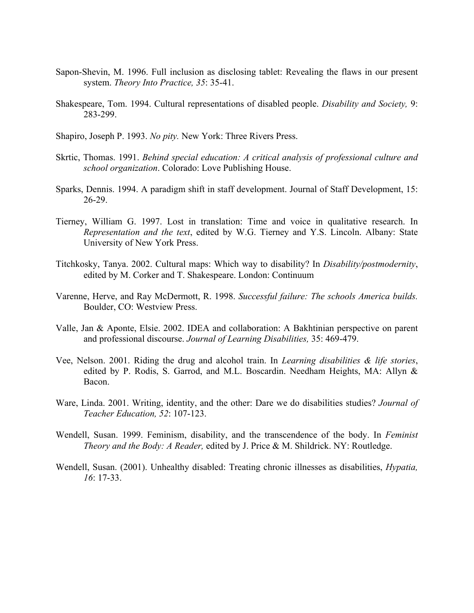- Sapon-Shevin, M. 1996. Full inclusion as disclosing tablet: Revealing the flaws in our present system. *Theory Into Practice, 35*: 35-41.
- Shakespeare, Tom. 1994. Cultural representations of disabled people. *Disability and Society,* 9: 283-299.

Shapiro, Joseph P. 1993. *No pity.* New York: Three Rivers Press.

- Skrtic, Thomas. 1991. *Behind special education: A critical analysis of professional culture and school organization*. Colorado: Love Publishing House.
- Sparks, Dennis. 1994. A paradigm shift in staff development. Journal of Staff Development, 15: 26-29.
- Tierney, William G. 1997. Lost in translation: Time and voice in qualitative research. In *Representation and the text*, edited by W.G. Tierney and Y.S. Lincoln. Albany: State University of New York Press.
- Titchkosky, Tanya. 2002. Cultural maps: Which way to disability? In *Disability/postmodernity*, edited by M. Corker and T. Shakespeare. London: Continuum
- Varenne, Herve, and Ray McDermott, R. 1998. *Successful failure: The schools America builds.*  Boulder, CO: Westview Press.
- Valle, Jan & Aponte, Elsie. 2002. IDEA and collaboration: A Bakhtinian perspective on parent and professional discourse. *Journal of Learning Disabilities,* 35: 469-479.
- Vee, Nelson. 2001. Riding the drug and alcohol train. In *Learning disabilities & life stories*, edited by P. Rodis, S. Garrod, and M.L. Boscardin. Needham Heights, MA: Allyn & Bacon.
- Ware, Linda. 2001. Writing, identity, and the other: Dare we do disabilities studies? *Journal of Teacher Education, 52*: 107-123.
- Wendell, Susan. 1999. Feminism, disability, and the transcendence of the body. In *Feminist Theory and the Body: A Reader,* edited by J. Price & M. Shildrick. NY: Routledge.
- Wendell, Susan. (2001). Unhealthy disabled: Treating chronic illnesses as disabilities, *Hypatia, 16*: 17-33.